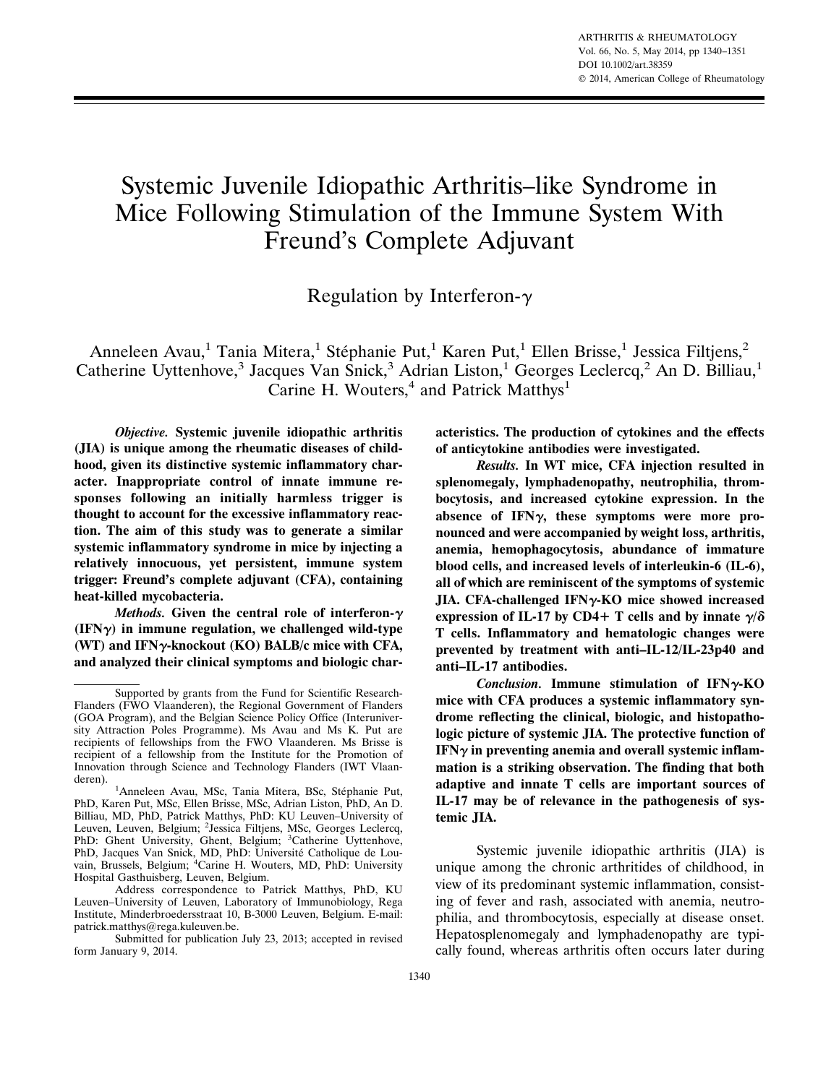# Systemic Juvenile Idiopathic Arthritis–like Syndrome in Mice Following Stimulation of the Immune System With Freund's Complete Adjuvant

Regulation by Interferon- $\gamma$ 

Anneleen Avau,<sup>1</sup> Tania Mitera,<sup>1</sup> Stéphanie Put,<sup>1</sup> Karen Put,<sup>1</sup> Ellen Brisse,<sup>1</sup> Jessica Filtjens,<sup>2</sup> Catherine Uyttenhove,<sup>3</sup> Jacques Van Snick,<sup>3</sup> Adrian Liston,<sup>1</sup> Georges Leclercq,<sup>2</sup> An D. Billiau,<sup>1</sup> Carine H. Wouters, $4$  and Patrick Matthys<sup>1</sup>

*Objective.* **Systemic juvenile idiopathic arthritis (JIA) is unique among the rheumatic diseases of childhood, given its distinctive systemic inflammatory character. Inappropriate control of innate immune responses following an initially harmless trigger is thought to account for the excessive inflammatory reaction. The aim of this study was to generate a similar systemic inflammatory syndrome in mice by injecting a relatively innocuous, yet persistent, immune system trigger: Freund's complete adjuvant (CFA), containing heat-killed mycobacteria.**

*Methods.* **Given the central role of interferon- (IFN) in immune regulation, we challenged wild-type (WT) and IFN-knockout (KO) BALB/c mice with CFA, and analyzed their clinical symptoms and biologic char-** **acteristics. The production of cytokines and the effects of anticytokine antibodies were investigated.**

*Results.* **In WT mice, CFA injection resulted in splenomegaly, lymphadenopathy, neutrophilia, thrombocytosis, and increased cytokine expression. In the absence of IFN, these symptoms were more pronounced and were accompanied by weight loss, arthritis, anemia, hemophagocytosis, abundance of immature blood cells, and increased levels of interleukin-6 (IL-6), all of which are reminiscent of the symptoms of systemic JIA. CFA-challenged IFN-KO mice showed increased** expression of IL-17 by CD4+ T cells and by innate  $\gamma/\delta$ **T cells. Inflammatory and hematologic changes were prevented by treatment with anti–IL-12/IL-23p40 and anti–IL-17 antibodies.**

*Conclusion.* **Immune stimulation of IFN-KO mice with CFA produces a systemic inflammatory syndrome reflecting the clinical, biologic, and histopathologic picture of systemic JIA. The protective function of**  $IFN<sub>\gamma</sub>$  in preventing anemia and overall systemic inflam**mation is a striking observation. The finding that both adaptive and innate T cells are important sources of IL-17 may be of relevance in the pathogenesis of systemic JIA.**

Systemic juvenile idiopathic arthritis (JIA) is unique among the chronic arthritides of childhood, in view of its predominant systemic inflammation, consisting of fever and rash, associated with anemia, neutrophilia, and thrombocytosis, especially at disease onset. Hepatosplenomegaly and lymphadenopathy are typically found, whereas arthritis often occurs later during

Supported by grants from the Fund for Scientific Research-Flanders (FWO Vlaanderen), the Regional Government of Flanders (GOA Program), and the Belgian Science Policy Office (Interuniversity Attraction Poles Programme). Ms Avau and Ms K. Put are recipients of fellowships from the FWO Vlaanderen. Ms Brisse is recipient of a fellowship from the Institute for the Promotion of Innovation through Science and Technology Flanders (IWT Vlaanderen).

<sup>&</sup>lt;sup>1</sup>Anneleen Avau, MSc, Tania Mitera, BSc, Stéphanie Put, PhD, Karen Put, MSc, Ellen Brisse, MSc, Adrian Liston, PhD, An D. Billiau, MD, PhD, Patrick Matthys, PhD: KU Leuven–University of Leuven, Leuven, Belgium; <sup>2</sup>Jessica Filtjens, MSc, Georges Leclercq, PhD: Ghent University, Ghent, Belgium; <sup>3</sup>Catherine Uyttenhove, PhD, Jacques Van Snick, MD, PhD: Université Catholique de Lou-<br>vain, Brussels, Belgium; <sup>4</sup>Carine H. Wouters, MD, PhD: University Hospital Gasthuisberg, Leuven, Belgium.

Address correspondence to Patrick Matthys, PhD, KU Leuven–University of Leuven, Laboratory of Immunobiology, Rega Institute, Minderbroedersstraat 10, B-3000 Leuven, Belgium. E-mail: patrick.matthys@rega.kuleuven.be.

Submitted for publication July 23, 2013; accepted in revised form January 9, 2014.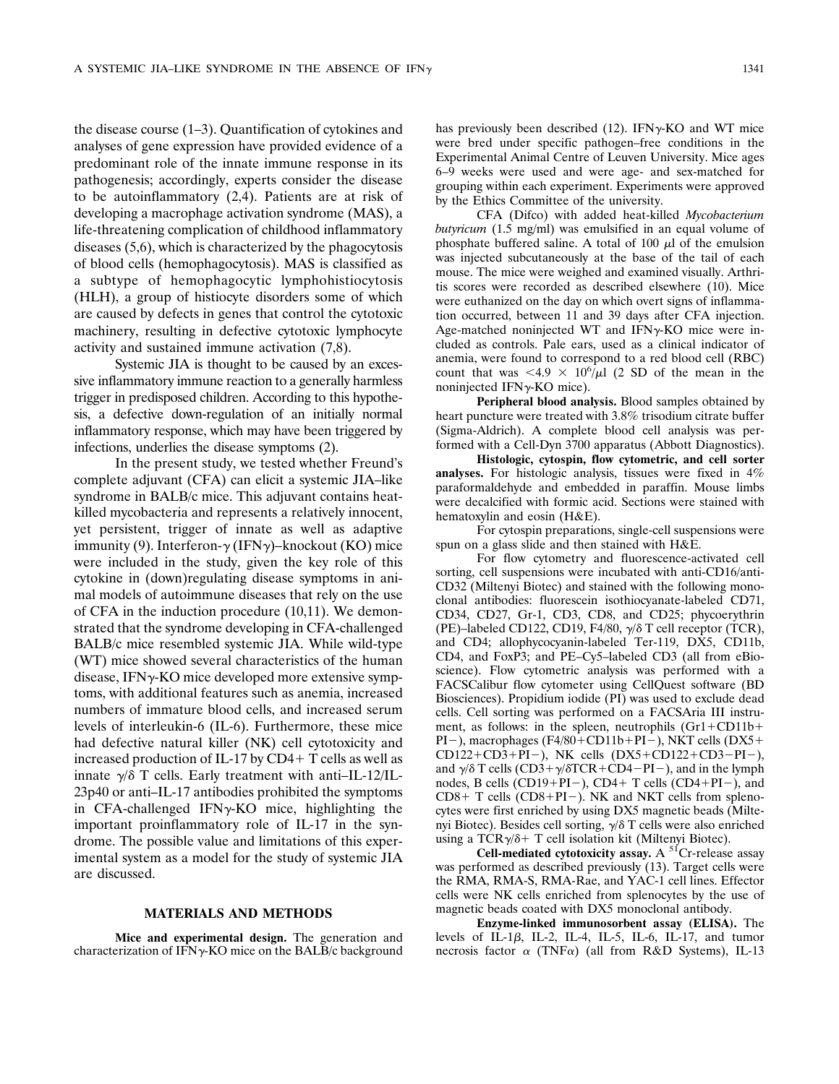the disease course (1–3). Quantification of cytokines and analyses of gene expression have provided evidence of a predominant role of the innate immune response in its pathogenesis; accordingly, experts consider the disease to be autoinflammatory (2,4). Patients are at risk of developing a macrophage activation syndrome (MAS), a life-threatening complication of childhood inflammatory diseases (5,6), which is characterized by the phagocytosis of blood cells (hemophagocytosis). MAS is classified as a subtype of hemophagocytic lymphohistiocytosis (HLH), a group of histiocyte disorders some of which are caused by defects in genes that control the cytotoxic machinery, resulting in defective cytotoxic lymphocyte activity and sustained immune activation (7,8).

Systemic JIA is thought to be caused by an excessive inflammatory immune reaction to a generally harmless trigger in predisposed children. According to this hypothesis, a defective down-regulation of an initially normal inflammatory response, which may have been triggered by infections, underlies the disease symptoms (2).

In the present study, we tested whether Freund's complete adjuvant (CFA) can elicit a systemic JIA–like syndrome in BALB/c mice. This adjuvant contains heatkilled mycobacteria and represents a relatively innocent, yet persistent, trigger of innate as well as adaptive immunity (9). Interferon- $\gamma$  (IFN $\gamma$ )–knockout (KO) mice were included in the study, given the key role of this cytokine in (down)regulating disease symptoms in animal models of autoimmune diseases that rely on the use of CFA in the induction procedure (10,11). We demonstrated that the syndrome developing in CFA-challenged BALB/c mice resembled systemic JIA. While wild-type (WT) mice showed several characteristics of the human disease, IFN $\gamma$ -KO mice developed more extensive symptoms, with additional features such as anemia, increased numbers of immature blood cells, and increased serum levels of interleukin-6 (IL-6). Furthermore, these mice had defective natural killer (NK) cell cytotoxicity and increased production of IL-17 by  $CD4+T$  cells as well as innate  $\gamma/\delta$  T cells. Early treatment with anti-IL-12/IL-23p40 or anti–IL-17 antibodies prohibited the symptoms in CFA-challenged IFN $\gamma$ -KO mice, highlighting the important proinflammatory role of IL-17 in the syndrome. The possible value and limitations of this experimental system as a model for the study of systemic JIA are discussed.

### **MATERIALS AND METHODS**

**Mice and experimental design.** The generation and characterization of IFN $\gamma$ -KO mice on the BALB/c background has previously been described  $(12)$ . IFN $\gamma$ -KO and WT mice were bred under specific pathogen–free conditions in the Experimental Animal Centre of Leuven University. Mice ages 6–9 weeks were used and were age- and sex-matched for grouping within each experiment. Experiments were approved by the Ethics Committee of the university.

CFA (Difco) with added heat-killed *Mycobacterium butyricum* (1.5 mg/ml) was emulsified in an equal volume of phosphate buffered saline. A total of 100  $\mu$ l of the emulsion was injected subcutaneously at the base of the tail of each mouse. The mice were weighed and examined visually. Arthritis scores were recorded as described elsewhere (10). Mice were euthanized on the day on which overt signs of inflammation occurred, between 11 and 39 days after CFA injection. Age-matched noninjected WT and IFNy-KO mice were included as controls. Pale ears, used as a clinical indicator of anemia, were found to correspond to a red blood cell (RBC) count that was  $\langle 4.9 \times 10^6 \rangle \mu$  (2 SD of the mean in the noninjected IFN $\nu$ -KO mice).

**Peripheral blood analysis.** Blood samples obtained by heart puncture were treated with 3.8% trisodium citrate buffer (Sigma-Aldrich). A complete blood cell analysis was performed with a Cell-Dyn 3700 apparatus (Abbott Diagnostics).

**Histologic, cytospin, flow cytometric, and cell sorter analyses.** For histologic analysis, tissues were fixed in 4% paraformaldehyde and embedded in paraffin. Mouse limbs were decalcified with formic acid. Sections were stained with hematoxylin and eosin (H&E).

For cytospin preparations, single-cell suspensions were spun on a glass slide and then stained with H&E.

For flow cytometry and fluorescence-activated cell sorting, cell suspensions were incubated with anti-CD16/anti-CD32 (Miltenyi Biotec) and stained with the following monoclonal antibodies: fluorescein isothiocyanate-labeled CD71, CD34, CD27, Gr-1, CD3, CD8, and CD25; phycoerythrin (PE)–labeled CD122, CD19, F4/80,  $\gamma/\delta$  T cell receptor (TCR), and CD4; allophycocyanin-labeled Ter-119, DX5, CD11b, CD4, and FoxP3; and PE–Cy5–labeled CD3 (all from eBioscience). Flow cytometric analysis was performed with a FACSCalibur flow cytometer using CellQuest software (BD Biosciences). Propidium iodide (PI) was used to exclude dead cells. Cell sorting was performed on a FACSAria III instrument, as follows: in the spleen, neutrophils  $(Gr1+CD11b+$ PI-), macrophages (F4/80+CD11b+PI-), NKT cells (DX5+  $CD122+CD3+PI-$ ), NK cells  $(DX5+CD122+CD3-PI-)$ , and  $\gamma/\delta$  T cells (CD3+ $\gamma/\delta$ TCR+CD4–PI–), and in the lymph nodes, B cells (CD19+PI-), CD4+ T cells (CD4+PI-), and  $CD8+T$  cells  $(CD8+PI-)$ . NK and NKT cells from splenocytes were first enriched by using DX5 magnetic beads (Miltenyi Biotec). Besides cell sorting,  $\gamma/\delta$  T cells were also enriched using a  $TCR\gamma/\delta+T$  cell isolation kit (Miltenyi Biotec).

**Cell-mediated cytotoxicity assay.** A  $<sup>51</sup>Cr$ -release assay</sup> was performed as described previously (13). Target cells were the RMA, RMA-S, RMA-Rae, and YAC-1 cell lines. Effector cells were NK cells enriched from splenocytes by the use of magnetic beads coated with DX5 monoclonal antibody.

**Enzyme-linked immunosorbent assay (ELISA).** The levels of IL-1 $\beta$ , IL-2, IL-4, IL-5, IL-6, IL-17, and tumor necrosis factor  $\alpha$  (TNF $\alpha$ ) (all from R&D Systems), IL-13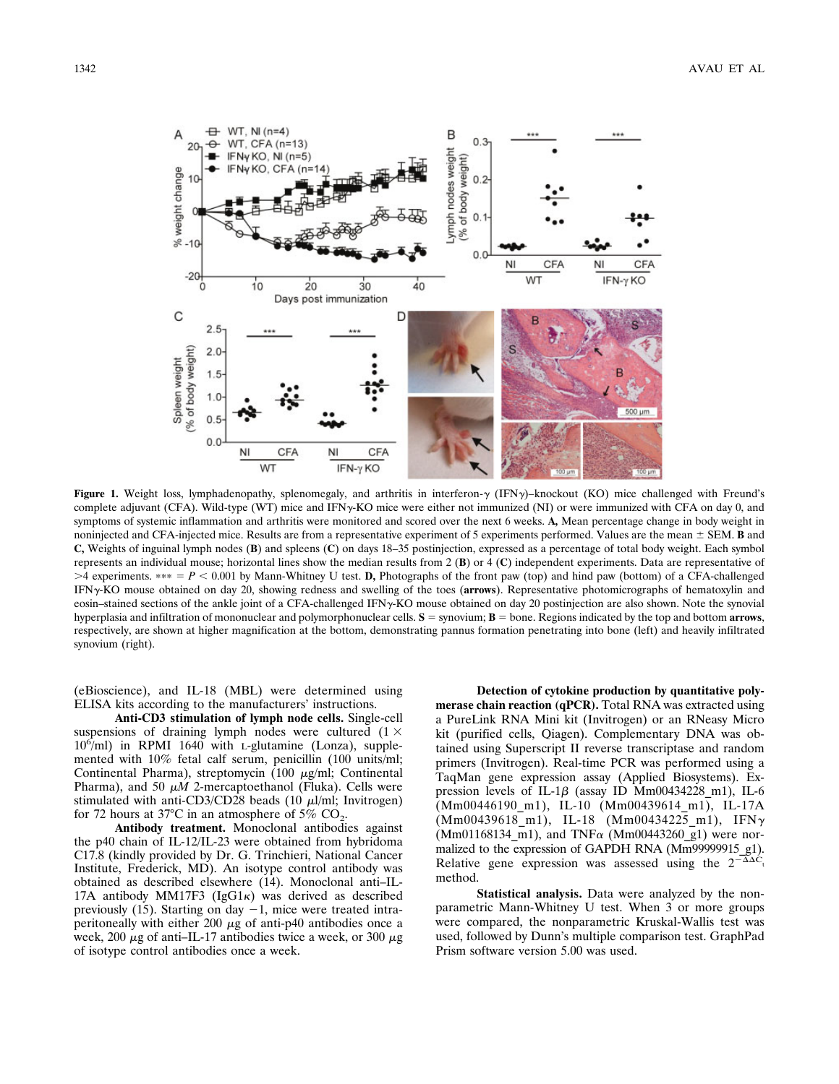

**Figure 1.** Weight loss, lymphadenopathy, splenomegaly, and arthritis in interferon- $\gamma$  (IFN $\gamma$ )–knockout (KO) mice challenged with Freund's complete adjuvant (CFA). Wild-type (WT) mice and IFN<sub>7</sub>-KO mice were either not immunized (NI) or were immunized with CFA on day 0, and symptoms of systemic inflammation and arthritis were monitored and scored over the next 6 weeks. **A,** Mean percentage change in body weight in noninjected and CFA-injected mice. Results are from a representative experiment of 5 experiments performed. Values are the mean  $\pm$  SEM. **B** and **C,** Weights of inguinal lymph nodes (**B**) and spleens (**C**) on days 18–35 postinjection, expressed as a percentage of total body weight. Each symbol represents an individual mouse; horizontal lines show the median results from 2 (**B**) or 4 (**C**) independent experiments. Data are representative of  $>4$  experiments.  $*** = P < 0.001$  by Mann-Whitney U test. **D**, Photographs of the front paw (top) and hind paw (bottom) of a CFA-challenged IFN-KO mouse obtained on day 20, showing redness and swelling of the toes (**arrows**). Representative photomicrographs of hematoxylin and eosin–stained sections of the ankle joint of a CFA-challenged IFN-KO mouse obtained on day 20 postinjection are also shown. Note the synovial hyperplasia and infiltration of mononuclear and polymorphonuclear cells. **S** = synovium; **B** = bone. Regions indicated by the top and bottom **arrows**, respectively, are shown at higher magnification at the bottom, demonstrating pannus formation penetrating into bone (left) and heavily infiltrated synovium (right).

(eBioscience), and IL-18 (MBL) were determined using ELISA kits according to the manufacturers' instructions.

**Anti-CD3 stimulation of lymph node cells.** Single-cell suspensions of draining lymph nodes were cultured  $(1 \times$ 106 /ml) in RPMI 1640 with L-glutamine (Lonza), supplemented with 10% fetal calf serum, penicillin (100 units/ml; Continental Pharma), streptomycin (100  $\mu$ g/ml; Continental Pharma), and 50  $\mu$ *M* 2-mercaptoethanol (Fluka). Cells were stimulated with anti-CD3/CD28 beads (10  $\mu$ l/ml; Invitrogen) for 72 hours at 37°C in an atmosphere of 5%  $CO<sub>2</sub>$ .

**Antibody treatment.** Monoclonal antibodies against the p40 chain of IL-12/IL-23 were obtained from hybridoma C17.8 (kindly provided by Dr. G. Trinchieri, National Cancer Institute, Frederick, MD). An isotype control antibody was obtained as described elsewhere (14). Monoclonal anti–IL-17A antibody MM17F3 (IgG1 $\kappa$ ) was derived as described previously (15). Starting on day  $-1$ , mice were treated intraperitoneally with either 200  $\mu$ g of anti-p40 antibodies once a week, 200  $\mu$ g of anti-IL-17 antibodies twice a week, or 300  $\mu$ g of isotype control antibodies once a week.

**Detection of cytokine production by quantitative polymerase chain reaction (qPCR).** Total RNA was extracted using a PureLink RNA Mini kit (Invitrogen) or an RNeasy Micro kit (purified cells, Qiagen). Complementary DNA was obtained using Superscript II reverse transcriptase and random primers (Invitrogen). Real-time PCR was performed using a TaqMan gene expression assay (Applied Biosystems). Expression levels of IL-1 $\beta$  (assay ID Mm00434228 m1), IL-6 (Mm00446190\_m1), IL-10 (Mm00439614\_m1), IL-17A  $(Mm00439618\ m1), IL-18$   $(Mm00434225\ m1), IFN\gamma$ (Mm01168134 m1), and TNF $\alpha$  (Mm00443260 g1) were normalized to the expression of GAPDH RNA (Mm99999915\_g1). Relative gene expression was assessed using the  $2^{-\Delta}C_1$ method.

**Statistical analysis.** Data were analyzed by the nonparametric Mann-Whitney U test. When 3 or more groups were compared, the nonparametric Kruskal-Wallis test was used, followed by Dunn's multiple comparison test. GraphPad Prism software version 5.00 was used.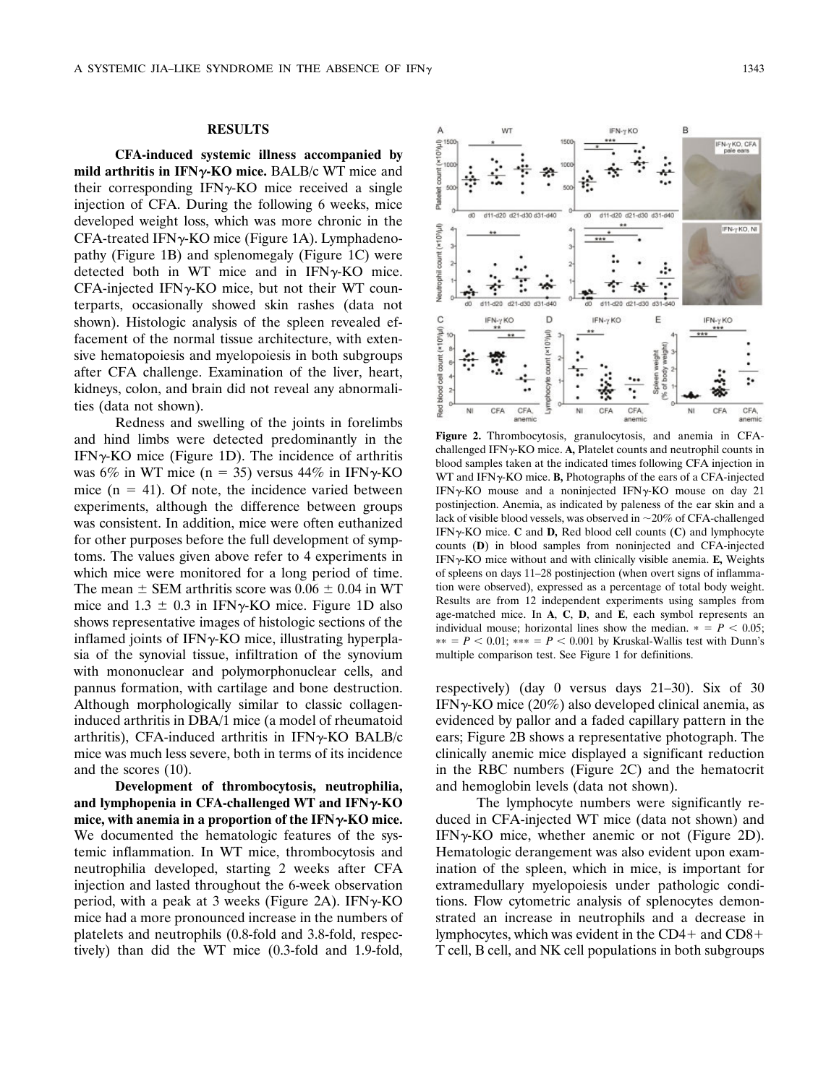# **RESULTS**

**CFA-induced systemic illness accompanied by mild arthritis in IFN-KO mice.** BALB/c WT mice and their corresponding  $IFN\gamma-KO$  mice received a single injection of CFA. During the following 6 weeks, mice developed weight loss, which was more chronic in the  $CFA$ -treated IFN $\gamma$ -KO mice (Figure 1A). Lymphadenopathy (Figure 1B) and splenomegaly (Figure 1C) were detected both in WT mice and in  $IFN\gamma-KO$  mice.  $CFA$ -injected IFN $\gamma$ -KO mice, but not their WT counterparts, occasionally showed skin rashes (data not shown). Histologic analysis of the spleen revealed effacement of the normal tissue architecture, with extensive hematopoiesis and myelopoiesis in both subgroups after CFA challenge. Examination of the liver, heart, kidneys, colon, and brain did not reveal any abnormalities (data not shown).

Redness and swelling of the joints in forelimbs and hind limbs were detected predominantly in the IFN $\gamma$ -KO mice (Figure 1D). The incidence of arthritis was 6% in WT mice (n = 35) versus 44% in IFN $\gamma$ -KO mice  $(n = 41)$ . Of note, the incidence varied between experiments, although the difference between groups was consistent. In addition, mice were often euthanized for other purposes before the full development of symptoms. The values given above refer to 4 experiments in which mice were monitored for a long period of time. The mean  $\pm$  SEM arthritis score was 0.06  $\pm$  0.04 in WT mice and  $1.3 \pm 0.3$  in IFN $\gamma$ -KO mice. Figure 1D also shows representative images of histologic sections of the inflamed joints of  $IFN\gamma$ -KO mice, illustrating hyperplasia of the synovial tissue, infiltration of the synovium with mononuclear and polymorphonuclear cells, and pannus formation, with cartilage and bone destruction. Although morphologically similar to classic collageninduced arthritis in DBA/1 mice (a model of rheumatoid arthritis), CFA-induced arthritis in  $IFN\gamma-KO$  BALB/c mice was much less severe, both in terms of its incidence and the scores (10).

**Development of thrombocytosis, neutrophilia, and lymphopenia in CFA-challenged WT and IFN-KO mice, with anemia in a proportion of the IFN-KO mice.** We documented the hematologic features of the systemic inflammation. In WT mice, thrombocytosis and neutrophilia developed, starting 2 weeks after CFA injection and lasted throughout the 6-week observation period, with a peak at 3 weeks (Figure 2A). IFN $\gamma$ -KO mice had a more pronounced increase in the numbers of platelets and neutrophils (0.8-fold and 3.8-fold, respectively) than did the WT mice (0.3-fold and 1.9-fold,



**Figure 2.** Thrombocytosis, granulocytosis, and anemia in CFAchallenged IFN<sub>Y</sub>-KO mice. A, Platelet counts and neutrophil counts in blood samples taken at the indicated times following CFA injection in WT and IFN $\gamma$ -KO mice. **B**, Photographs of the ears of a CFA-injected IFN $\gamma$ -KO mouse and a noninjected IFN $\gamma$ -KO mouse on day 21 postinjection. Anemia, as indicated by paleness of the ear skin and a lack of visible blood vessels, was observed in  $\sim$ 20% of CFA-challenged IFN $\gamma$ -KO mice. **C** and **D**, Red blood cell counts (**C**) and lymphocyte counts (**D**) in blood samples from noninjected and CFA-injected IFN $\gamma$ -KO mice without and with clinically visible anemia. **E**, Weights of spleens on days 11–28 postinjection (when overt signs of inflammation were observed), expressed as a percentage of total body weight. Results are from 12 independent experiments using samples from age-matched mice. In **A**, **C**, **D**, and **E**, each symbol represents an individual mouse; horizontal lines show the median.  $* = P < 0.05$ ;  $** = P < 0.01$ ;  $*** = P < 0.001$  by Kruskal-Wallis test with Dunn's multiple comparison test. See Figure 1 for definitions.

respectively) (day 0 versus days 21–30). Six of 30 IFN $\gamma$ -KO mice (20%) also developed clinical anemia, as evidenced by pallor and a faded capillary pattern in the ears; Figure 2B shows a representative photograph. The clinically anemic mice displayed a significant reduction in the RBC numbers (Figure 2C) and the hematocrit and hemoglobin levels (data not shown).

The lymphocyte numbers were significantly reduced in CFA-injected WT mice (data not shown) and IFN $\gamma$ -KO mice, whether anemic or not (Figure 2D). Hematologic derangement was also evident upon examination of the spleen, which in mice, is important for extramedullary myelopoiesis under pathologic conditions. Flow cytometric analysis of splenocytes demonstrated an increase in neutrophils and a decrease in lymphocytes, which was evident in the  $CD4+$  and  $CD8+$ T cell, B cell, and NK cell populations in both subgroups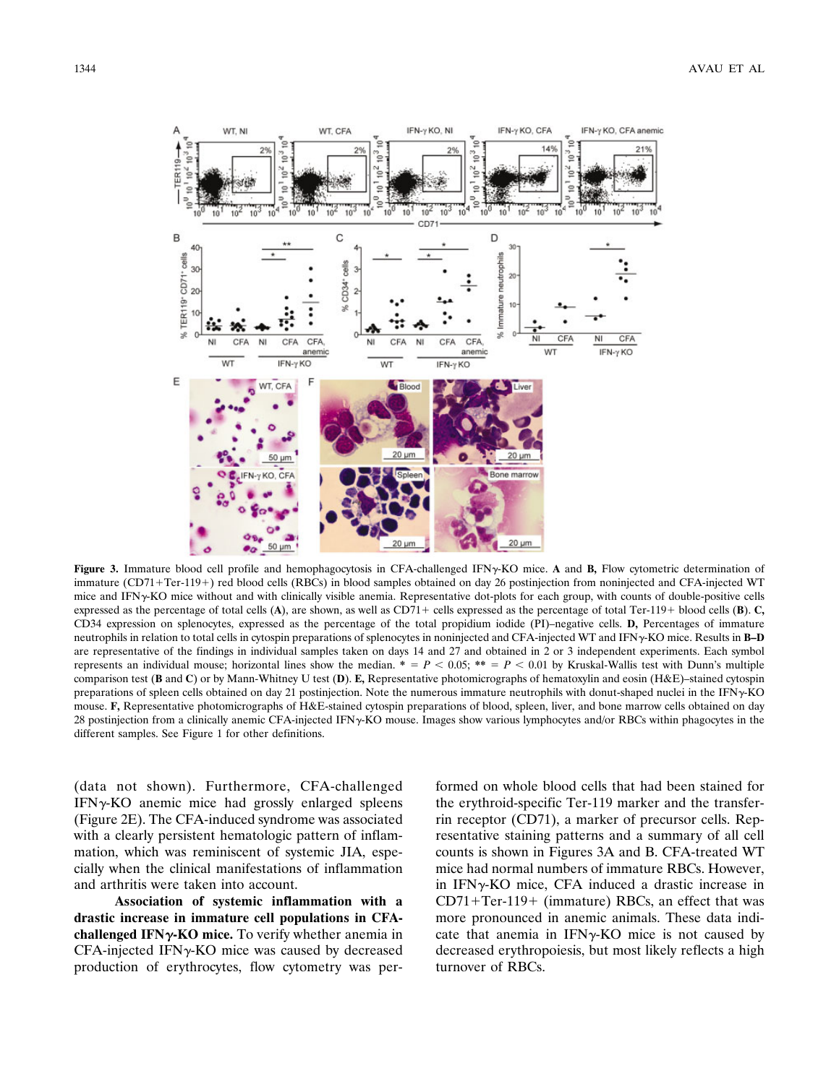

Figure 3. Immature blood cell profile and hemophagocytosis in CFA-challenged IFN<sub>Y</sub>-KO mice. A and B, Flow cytometric determination of immature (CD71+Ter-119+) red blood cells (RBCs) in blood samples obtained on day 26 postinjection from noninjected and CFA-injected WT mice and IFNy-KO mice without and with clinically visible anemia. Representative dot-plots for each group, with counts of double-positive cells expressed as the percentage of total cells (A), are shown, as well as CD71+ cells expressed as the percentage of total Ter-119+ blood cells (B). C, CD34 expression on splenocytes, expressed as the percentage of the total propidium iodide (PI)–negative cells. **D,** Percentages of immature neutrophils in relation to total cells in cytospin preparations of splenocytes in noninjected and CFA-injected WT and IFN-KO mice. Results in **B–D** are representative of the findings in individual samples taken on days 14 and 27 and obtained in 2 or 3 independent experiments. Each symbol represents an individual mouse; horizontal lines show the median.  $* = P < 0.05; ** = P < 0.01$  by Kruskal-Wallis test with Dunn's multiple comparison test (**B** and **C**) or by Mann-Whitney U test (**D**). **E,** Representative photomicrographs of hematoxylin and eosin (H&E)–stained cytospin preparations of spleen cells obtained on day 21 postinjection. Note the numerous immature neutrophils with donut-shaped nuclei in the IFN $\gamma$ -KO mouse. **F,** Representative photomicrographs of H&E-stained cytospin preparations of blood, spleen, liver, and bone marrow cells obtained on day 28 postinjection from a clinically anemic CFA-injected IFNy-KO mouse. Images show various lymphocytes and/or RBCs within phagocytes in the different samples. See Figure 1 for other definitions.

(data not shown). Furthermore, CFA-challenged  $IFN<sub>Y</sub>-KO$  anemic mice had grossly enlarged spleens (Figure 2E). The CFA-induced syndrome was associated with a clearly persistent hematologic pattern of inflammation, which was reminiscent of systemic JIA, especially when the clinical manifestations of inflammation and arthritis were taken into account.

**Association of systemic inflammation with a drastic increase in immature cell populations in CFAchallenged IFN-KO mice.** To verify whether anemia in  $CFA$ -injected IFN $\gamma$ -KO mice was caused by decreased production of erythrocytes, flow cytometry was per-

formed on whole blood cells that had been stained for the erythroid-specific Ter-119 marker and the transferrin receptor (CD71), a marker of precursor cells. Representative staining patterns and a summary of all cell counts is shown in Figures 3A and B. CFA-treated WT mice had normal numbers of immature RBCs. However, in  $IFN<sub>Y</sub>$ KO mice, CFA induced a drastic increase in  $CD71+Ter-119+ (immature) RBCs$ , an effect that was more pronounced in anemic animals. These data indicate that anemia in  $IFN\gamma-KO$  mice is not caused by decreased erythropoiesis, but most likely reflects a high turnover of RBCs.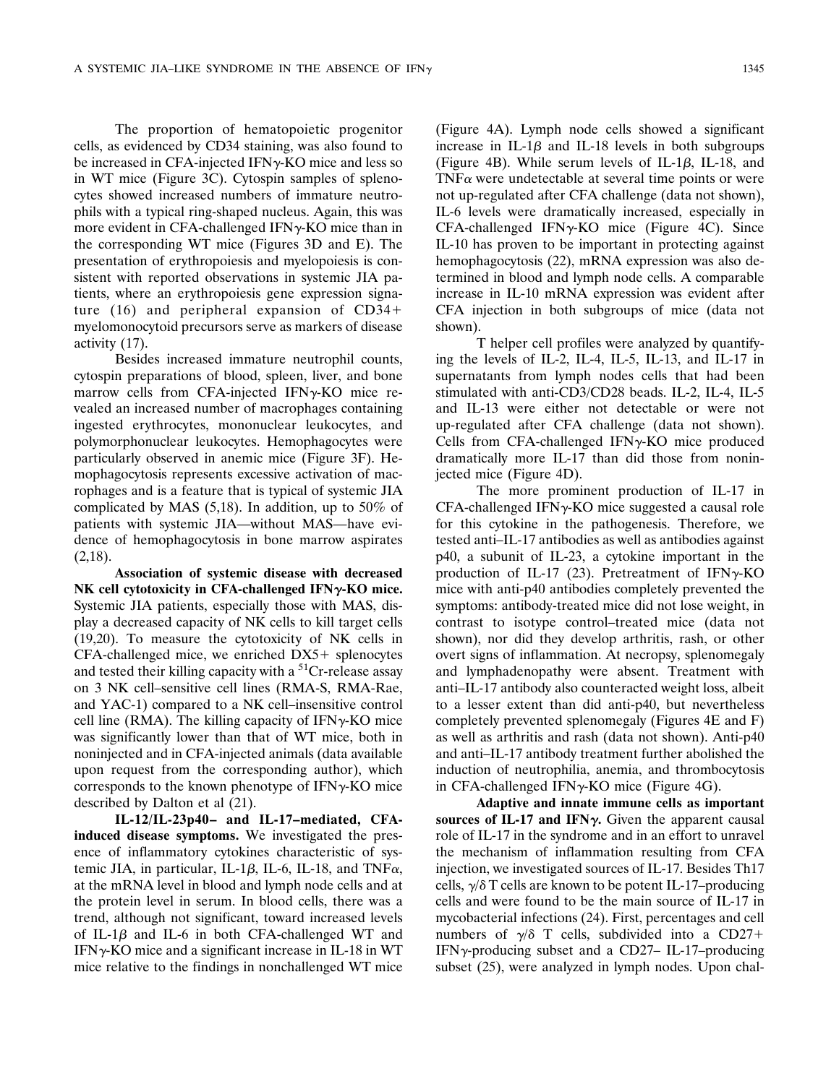The proportion of hematopoietic progenitor cells, as evidenced by CD34 staining, was also found to be increased in CFA-injected IFN $\gamma$ -KO mice and less so in WT mice (Figure 3C). Cytospin samples of splenocytes showed increased numbers of immature neutrophils with a typical ring-shaped nucleus. Again, this was more evident in CFA-challenged IFN $\gamma$ -KO mice than in the corresponding WT mice (Figures 3D and E). The presentation of erythropoiesis and myelopoiesis is consistent with reported observations in systemic JIA patients, where an erythropoiesis gene expression signature (16) and peripheral expansion of CD34 myelomonocytoid precursors serve as markers of disease activity (17).

Besides increased immature neutrophil counts, cytospin preparations of blood, spleen, liver, and bone marrow cells from CFA-injected IFN $\gamma$ -KO mice revealed an increased number of macrophages containing ingested erythrocytes, mononuclear leukocytes, and polymorphonuclear leukocytes. Hemophagocytes were particularly observed in anemic mice (Figure 3F). Hemophagocytosis represents excessive activation of macrophages and is a feature that is typical of systemic JIA complicated by MAS (5,18). In addition, up to 50% of patients with systemic JIA—without MAS—have evidence of hemophagocytosis in bone marrow aspirates  $(2,18)$ .

**Association of systemic disease with decreased NK cell cytotoxicity in CFA-challenged IFN-KO mice.** Systemic JIA patients, especially those with MAS, display a decreased capacity of NK cells to kill target cells (19,20). To measure the cytotoxicity of NK cells in  $CFA$ -challenged mice, we enriched  $DX5+$  splenocytes and tested their killing capacity with a  ${}^{51}Cr$ -release assay on 3 NK cell–sensitive cell lines (RMA-S, RMA-Rae, and YAC-1) compared to a NK cell–insensitive control cell line (RMA). The killing capacity of IFN $\gamma$ -KO mice was significantly lower than that of WT mice, both in noninjected and in CFA-injected animals (data available upon request from the corresponding author), which corresponds to the known phenotype of  $IFN<sub>\gamma</sub>-KO$  mice described by Dalton et al (21).

**IL-12/IL-23p40– and IL-17–mediated, CFAinduced disease symptoms.** We investigated the presence of inflammatory cytokines characteristic of systemic JIA, in particular, IL-1 $\beta$ , IL-6, IL-18, and TNF $\alpha$ , at the mRNA level in blood and lymph node cells and at the protein level in serum. In blood cells, there was a trend, although not significant, toward increased levels of IL-1 $\beta$  and IL-6 in both CFA-challenged WT and IFN $\gamma$ -KO mice and a significant increase in IL-18 in WT mice relative to the findings in nonchallenged WT mice

(Figure 4A). Lymph node cells showed a significant increase in IL-1 $\beta$  and IL-18 levels in both subgroups (Figure 4B). While serum levels of IL-1 $\beta$ , IL-18, and TNF $\alpha$  were undetectable at several time points or were not up-regulated after CFA challenge (data not shown), IL-6 levels were dramatically increased, especially in  $CFA$ -challenged IFN $\gamma$ -KO mice (Figure 4C). Since IL-10 has proven to be important in protecting against hemophagocytosis (22), mRNA expression was also determined in blood and lymph node cells. A comparable increase in IL-10 mRNA expression was evident after CFA injection in both subgroups of mice (data not shown).

T helper cell profiles were analyzed by quantifying the levels of IL-2, IL-4, IL-5, IL-13, and IL-17 in supernatants from lymph nodes cells that had been stimulated with anti-CD3/CD28 beads. IL-2, IL-4, IL-5 and IL-13 were either not detectable or were not up-regulated after CFA challenge (data not shown). Cells from CFA-challenged IFN $\gamma$ -KO mice produced dramatically more IL-17 than did those from noninjected mice (Figure 4D).

The more prominent production of IL-17 in  $CFA$ -challenged IFN $\gamma$ -KO mice suggested a causal role for this cytokine in the pathogenesis. Therefore, we tested anti–IL-17 antibodies as well as antibodies against p40, a subunit of IL-23, a cytokine important in the production of IL-17 (23). Pretreatment of IFN $\gamma$ -KO mice with anti-p40 antibodies completely prevented the symptoms: antibody-treated mice did not lose weight, in contrast to isotype control–treated mice (data not shown), nor did they develop arthritis, rash, or other overt signs of inflammation. At necropsy, splenomegaly and lymphadenopathy were absent. Treatment with anti–IL-17 antibody also counteracted weight loss, albeit to a lesser extent than did anti-p40, but nevertheless completely prevented splenomegaly (Figures 4E and F) as well as arthritis and rash (data not shown). Anti-p40 and anti–IL-17 antibody treatment further abolished the induction of neutrophilia, anemia, and thrombocytosis in CFA-challenged IFN $\gamma$ -KO mice (Figure 4G).

**Adaptive and innate immune cells as important** sources of IL-17 and IFN $\gamma$ . Given the apparent causal role of IL-17 in the syndrome and in an effort to unravel the mechanism of inflammation resulting from CFA injection, we investigated sources of IL-17. Besides Th17 cells,  $\gamma/\delta$  T cells are known to be potent IL-17–producing cells and were found to be the main source of IL-17 in mycobacterial infections (24). First, percentages and cell numbers of  $\gamma/\delta$  T cells, subdivided into a CD27+ IFN $\gamma$ -producing subset and a CD27– IL-17–producing subset (25), were analyzed in lymph nodes. Upon chal-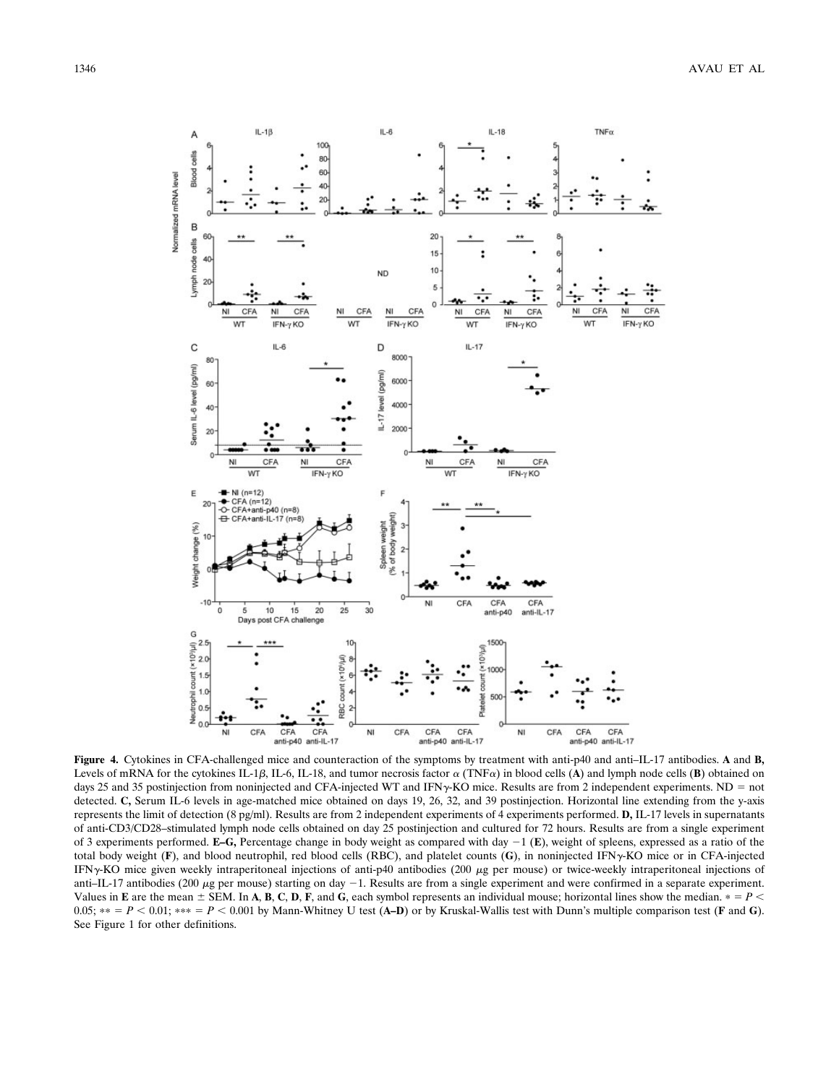

**Figure 4.** Cytokines in CFA-challenged mice and counteraction of the symptoms by treatment with anti-p40 and anti–IL-17 antibodies. **A** and **B,** Levels of mRNA for the cytokines IL-1 $\beta$ , IL-18, and tumor necrosis factor  $\alpha$  (TNF $\alpha$ ) in blood cells (**A**) and lymph node cells (**B**) obtained on days 25 and 35 postinjection from noninjected and CFA-injected WT and IFN $\gamma$ -KO mice. Results are from 2 independent experiments. ND = not detected. **C,** Serum IL-6 levels in age-matched mice obtained on days 19, 26, 32, and 39 postinjection. Horizontal line extending from the y-axis represents the limit of detection (8 pg/ml). Results are from 2 independent experiments of 4 experiments performed. **D,** IL-17 levels in supernatants of anti-CD3/CD28–stimulated lymph node cells obtained on day 25 postinjection and cultured for 72 hours. Results are from a single experiment of 3 experiments performed. **E–G**, Percentage change in body weight as compared with day  $-1$  (**E**), weight of spleens, expressed as a ratio of the total body weight ( $F$ ), and blood neutrophil, red blood cells (RBC), and platelet counts ( $G$ ), in noninjected IFN $\gamma$ -KO mice or in CFA-injected IFN $\gamma$ -KO mice given weekly intraperitoneal injections of anti-p40 antibodies (200  $\mu$ g per mouse) or twice-weekly intraperitoneal injections of anti–IL-17 antibodies (200  $\mu$ g per mouse) starting on day -1. Results are from a single experiment and were confirmed in a separate experiment. Values in **E** are the mean  $\pm$  SEM. In **A**, **B**, **C**, **D**, **F**, and **G**, each symbol represents an individual mouse; horizontal lines show the median.  $* = P$  $0.05$ ;  $** = P < 0.01$ ;  $*** = P < 0.001$  by Mann-Whitney U test (A–D) or by Kruskal-Wallis test with Dunn's multiple comparison test (**F** and **G**). See Figure 1 for other definitions.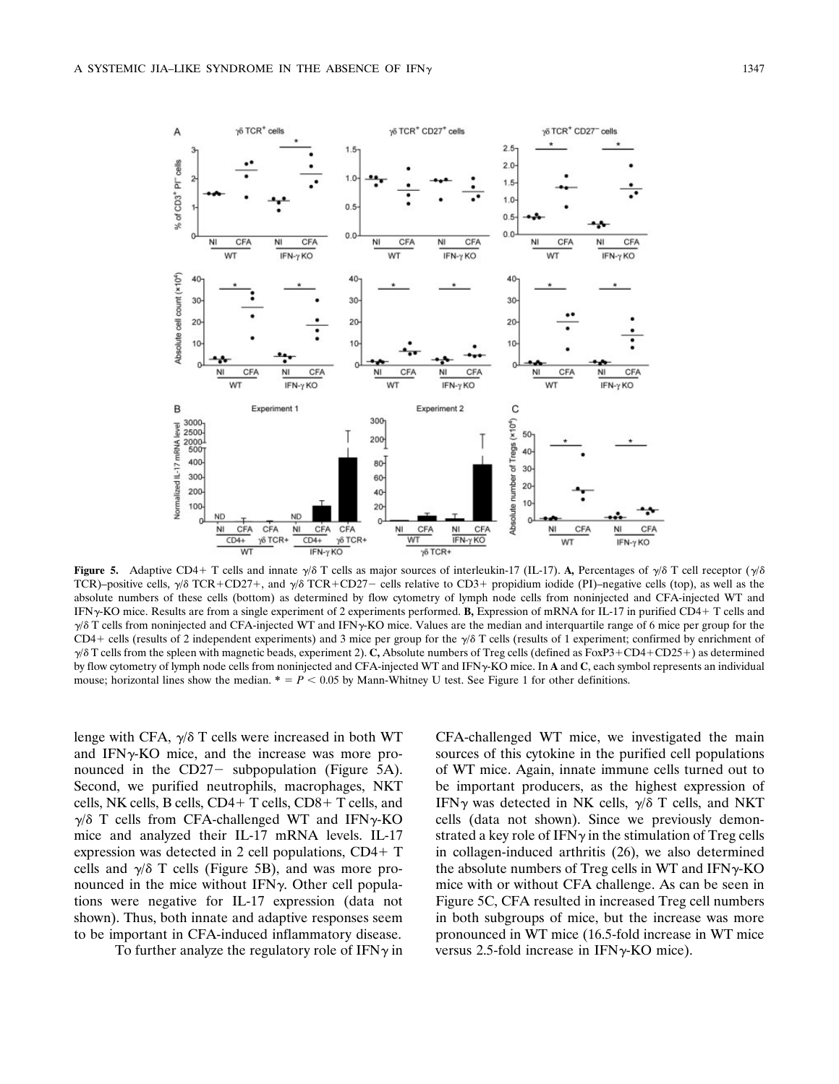

**Figure 5.** Adaptive CD4+ T cells and innate  $\gamma/\delta$  T cells as major sources of interleukin-17 (IL-17). A, Percentages of  $\gamma/\delta$  T cell receptor  $(\gamma/\delta)$ TCR)–positive cells,  $\gamma/\delta$  TCR+CD27+, and  $\gamma/\delta$  TCR+CD27– cells relative to CD3+ propidium iodide (PI)–negative cells (top), as well as the absolute numbers of these cells (bottom) as determined by flow cytometry of lymph node cells from noninjected and CFA-injected WT and IFN-KO mice. Results are from a single experiment of 2 experiments performed. **B,** Expression of mRNA for IL-17 in purified CD4 T cells and  $\gamma/\delta$  T cells from noninjected and CFA-injected WT and IFN $\gamma$ -KO mice. Values are the median and interquartile range of 6 mice per group for the CD4+ cells (results of 2 independent experiments) and 3 mice per group for the  $\sqrt{\delta}$  T cells (results of 1 experiment; confirmed by enrichment of  $\gamma/8$  T cells from the spleen with magnetic beads, experiment 2). C, Absolute numbers of Treg cells (defined as FoxP3+CD4+CD25+) as determined by flow cytometry of lymph node cells from noninjected and CFA-injected WT and IFN-KO mice. In **A** and **C**, each symbol represents an individual mouse; horizontal lines show the median.  $* = P < 0.05$  by Mann-Whitney U test. See Figure 1 for other definitions.

lenge with CFA,  $\gamma/\delta$  T cells were increased in both WT and IFN $\gamma$ -KO mice, and the increase was more pronounced in the  $CD27-$  subpopulation (Figure 5A). Second, we purified neutrophils, macrophages, NKT cells, NK cells, B cells,  $CD4+T$  cells,  $CD8+T$  cells, and  $\gamma/\delta$  T cells from CFA-challenged WT and IFN $\gamma$ -KO mice and analyzed their IL-17 mRNA levels. IL-17 expression was detected in 2 cell populations,  $CD4+T$ cells and  $\gamma/\delta$  T cells (Figure 5B), and was more pronounced in the mice without IFN $\gamma$ . Other cell populations were negative for IL-17 expression (data not shown). Thus, both innate and adaptive responses seem to be important in CFA-induced inflammatory disease.

To further analyze the regulatory role of IFN $\gamma$  in

CFA-challenged WT mice, we investigated the main sources of this cytokine in the purified cell populations of WT mice. Again, innate immune cells turned out to be important producers, as the highest expression of IFN $\gamma$  was detected in NK cells,  $\gamma/\delta$  T cells, and NKT cells (data not shown). Since we previously demonstrated a key role of IFN $\gamma$  in the stimulation of Treg cells in collagen-induced arthritis (26), we also determined the absolute numbers of Treg cells in WT and  $IFN\gamma$ -KO mice with or without CFA challenge. As can be seen in Figure 5C, CFA resulted in increased Treg cell numbers in both subgroups of mice, but the increase was more pronounced in WT mice (16.5-fold increase in WT mice versus 2.5-fold increase in  $IFN\gamma-KO$  mice).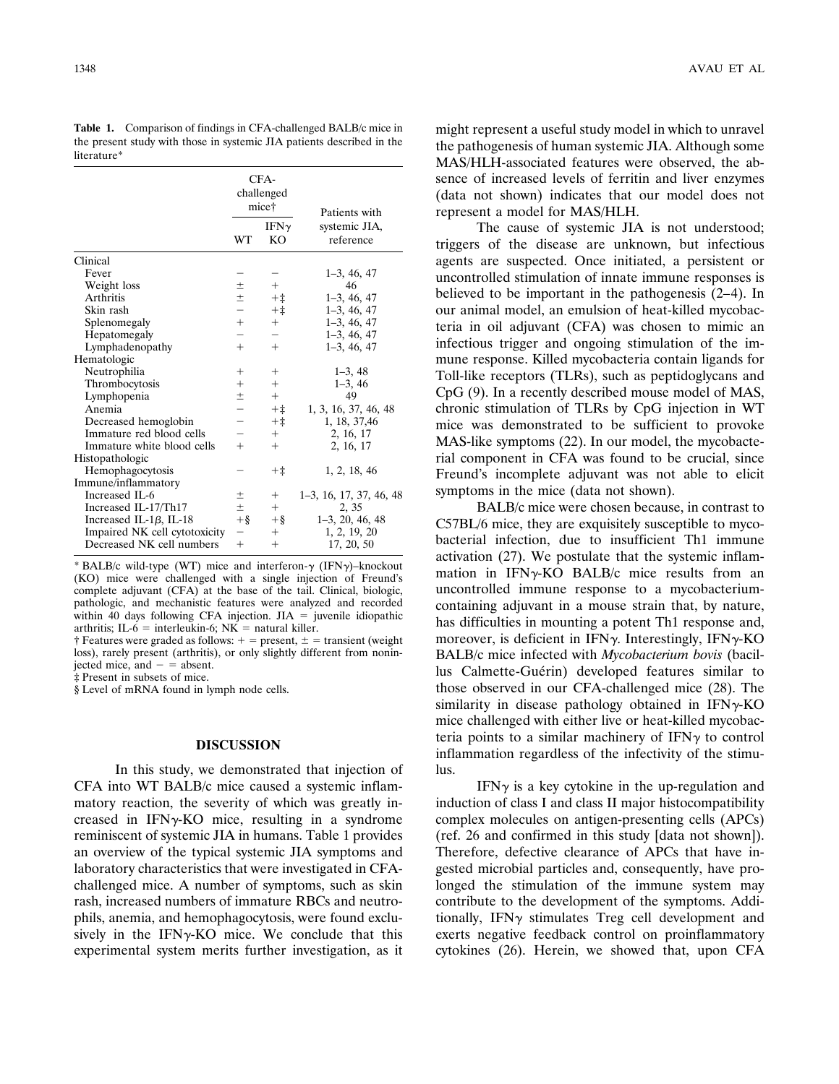CFAchallenged mice† WT IFN $\gamma$ KO Patients with systemic JIA, reference Clinical Fever  $1-3, 46, 47$ <br>Weight loss  $\pm$   $+$   $1-3, 46, 47$ Weight loss  $\pm$ <br>Arthritis  $\pm$ Arthritis  $\pm$   $+ \pm$  1–3, 46, 47<br>Skin rash  $+ \pm$  1–3, 46, 47 Skin rash ‡ 1–3, 46, 47 Splenomegaly Hepatomegaly  $-$  1–3, 46, 47<br>Lymphadenopathy  $+$   $+$  1–3, 46, 47 Lymphadenopathy Hematologic Neutrophilia 1–3, 48 Thrombocytosis  $+$   $+$   $1-3,4$ <br>Lymphopenia  $+$   $+$   $1-3,4$ Lymphopenia  $\pm$   $+$ <br>Anemia  $+$   $\pm$ Anemia  $+$   $\ddagger$  1, 3, 16, 37, 46, 48<br>Decreased hemoglobin  $+$   $\ddagger$  1 18, 37, 46 Decreased hemoglobin  $+$   $\ddagger$  1, 18, 37,46 Immature red blood cells  $+$   $2, 16, 17$ <br>Immature white blood cells  $+$   $+$   $2, 16, 17$ Immature white blood cells  $+$   $+$   $2, 16, 17$ Histopathologic Hemophagocytosis  $+$   $\ddagger$  1, 2, 18, 46 Immune/inflammatory<br>Increased IL-6  $\pm$  + 1–3, 16, 17, 37, 46, 48<br> $\pm$  + 2, 35 Increased IL-17/Th17  $\pm$  + 2, 35<br>Increased IL-1 $\beta$ , IL-18 + § 1-3, 20, 46, 48 Increased IL-1 $\beta$ , IL-18  $+$ §  $+$ § 1-3, 20, 46, 4<br>Impaired NK cell cytotoxicity -  $+$  1, 2, 19, 20 Impaired NK cell cytotoxicity  $-$ <br>Decreased NK cell numbers  $+$ Decreased NK cell numbers  $+$   $+$   $17, 20, 50$ 

**Table 1.** Comparison of findings in CFA-challenged BALB/c mice in the present study with those in systemic JIA patients described in the literature\*

\* BALB/c wild-type (WT) mice and interferon- $\gamma$  (IFN $\gamma$ )–knockout (KO) mice were challenged with a single injection of Freund's complete adjuvant (CFA) at the base of the tail. Clinical, biologic, pathologic, and mechanistic features were analyzed and recorded within 40 days following CFA injection.  $JIA =$  juvenile idiopathic arthritis; IL-6 = interleukin-6;  $NK$  = natural killer.

† Features were graded as follows:  $+$  = present,  $\pm$  = transient (weight) loss), rarely present (arthritis), or only slightly different from noninjected mice, and  $=$  absent.

‡ Present in subsets of mice.

§ Level of mRNA found in lymph node cells.

# **DISCUSSION**

In this study, we demonstrated that injection of CFA into WT BALB/c mice caused a systemic inflammatory reaction, the severity of which was greatly increased in  $IFN\gamma-KO$  mice, resulting in a syndrome reminiscent of systemic JIA in humans. Table 1 provides an overview of the typical systemic JIA symptoms and laboratory characteristics that were investigated in CFAchallenged mice. A number of symptoms, such as skin rash, increased numbers of immature RBCs and neutrophils, anemia, and hemophagocytosis, were found exclusively in the IFN $\gamma$ -KO mice. We conclude that this experimental system merits further investigation, as it might represent a useful study model in which to unravel the pathogenesis of human systemic JIA. Although some MAS/HLH-associated features were observed, the absence of increased levels of ferritin and liver enzymes (data not shown) indicates that our model does not represent a model for MAS/HLH.

The cause of systemic JIA is not understood; triggers of the disease are unknown, but infectious agents are suspected. Once initiated, a persistent or uncontrolled stimulation of innate immune responses is believed to be important in the pathogenesis (2–4). In our animal model, an emulsion of heat-killed mycobacteria in oil adjuvant (CFA) was chosen to mimic an infectious trigger and ongoing stimulation of the immune response. Killed mycobacteria contain ligands for Toll-like receptors (TLRs), such as peptidoglycans and CpG (9). In a recently described mouse model of MAS, chronic stimulation of TLRs by CpG injection in WT mice was demonstrated to be sufficient to provoke MAS-like symptoms (22). In our model, the mycobacterial component in CFA was found to be crucial, since Freund's incomplete adjuvant was not able to elicit symptoms in the mice (data not shown).

BALB/c mice were chosen because, in contrast to C57BL/6 mice, they are exquisitely susceptible to mycobacterial infection, due to insufficient Th1 immune activation (27). We postulate that the systemic inflammation in IFN $\gamma$ -KO BALB/c mice results from an uncontrolled immune response to a mycobacteriumcontaining adjuvant in a mouse strain that, by nature, has difficulties in mounting a potent Th1 response and, moreover, is deficient in IFN $\gamma$ . Interestingly, IFN $\gamma$ -KO BALB/c mice infected with *Mycobacterium bovis* (bacillus Calmette-Guérin) developed features similar to those observed in our CFA-challenged mice (28). The similarity in disease pathology obtained in  $IFN\gamma-KO$ mice challenged with either live or heat-killed mycobacteria points to a similar machinery of  $IFN<sub>\gamma</sub>$  to control inflammation regardless of the infectivity of the stimulus.

IFN $\gamma$  is a key cytokine in the up-regulation and induction of class I and class II major histocompatibility complex molecules on antigen-presenting cells (APCs) (ref. 26 and confirmed in this study [data not shown]). Therefore, defective clearance of APCs that have ingested microbial particles and, consequently, have prolonged the stimulation of the immune system may contribute to the development of the symptoms. Additionally, IFN $\gamma$  stimulates Treg cell development and exerts negative feedback control on proinflammatory cytokines (26). Herein, we showed that, upon CFA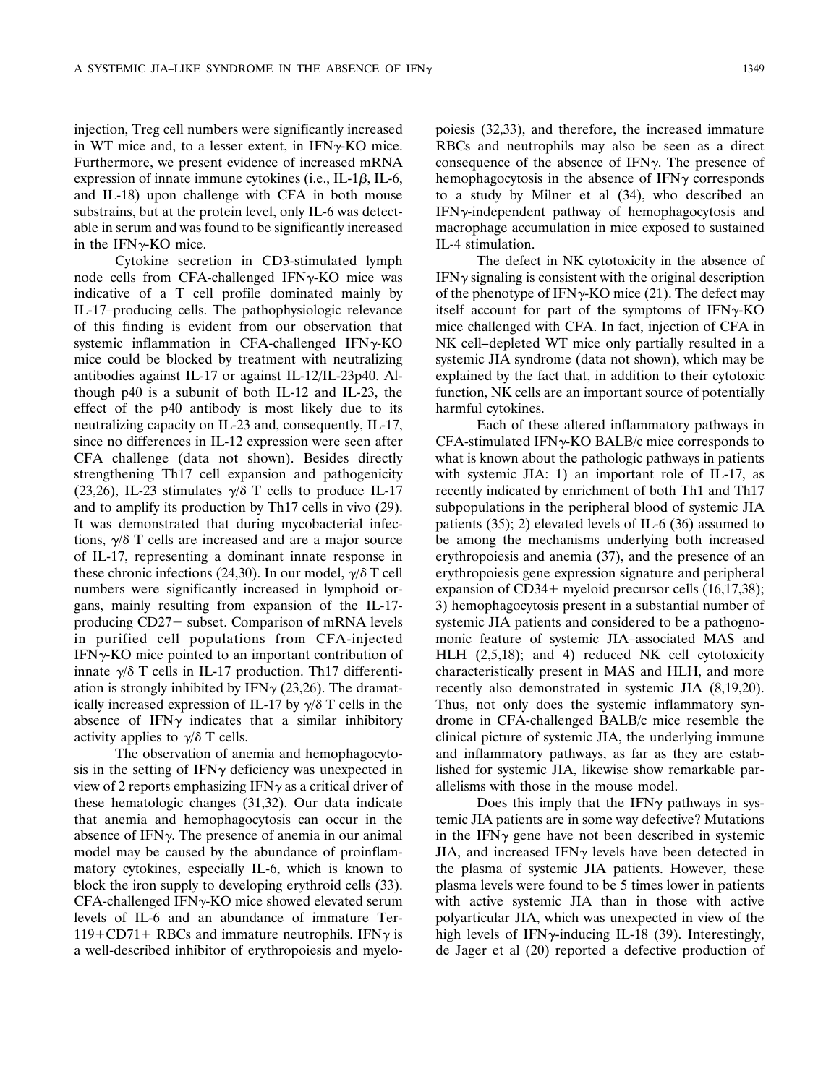injection, Treg cell numbers were significantly increased in WT mice and, to a lesser extent, in  $IFN<sub>\gamma</sub>-KO$  mice. Furthermore, we present evidence of increased mRNA expression of innate immune cytokines (i.e., IL-1 $\beta$ , IL-6, and IL-18) upon challenge with CFA in both mouse substrains, but at the protein level, only IL-6 was detectable in serum and was found to be significantly increased in the IFN $\gamma$ -KO mice.

Cytokine secretion in CD3-stimulated lymph node cells from CFA-challenged IFN $\gamma$ -KO mice was indicative of a T cell profile dominated mainly by IL-17–producing cells. The pathophysiologic relevance of this finding is evident from our observation that systemic inflammation in CFA-challenged IFN $\gamma$ -KO mice could be blocked by treatment with neutralizing antibodies against IL-17 or against IL-12/IL-23p40. Although p40 is a subunit of both IL-12 and IL-23, the effect of the p40 antibody is most likely due to its neutralizing capacity on IL-23 and, consequently, IL-17, since no differences in IL-12 expression were seen after CFA challenge (data not shown). Besides directly strengthening Th17 cell expansion and pathogenicity (23,26), IL-23 stimulates  $\gamma/\delta$  T cells to produce IL-17 and to amplify its production by Th17 cells in vivo (29). It was demonstrated that during mycobacterial infections,  $\gamma/\delta$  T cells are increased and are a major source of IL-17, representing a dominant innate response in these chronic infections (24,30). In our model,  $\gamma/\delta$  T cell numbers were significantly increased in lymphoid organs, mainly resulting from expansion of the IL-17 producing CD27 – subset. Comparison of mRNA levels in purified cell populations from CFA-injected  $IFN<sub>Y</sub>-KO$  mice pointed to an important contribution of innate  $\gamma/\delta$  T cells in IL-17 production. Th17 differentiation is strongly inhibited by IFN $\gamma$  (23,26). The dramatically increased expression of IL-17 by  $\gamma/\delta$  T cells in the absence of IFN $\gamma$  indicates that a similar inhibitory activity applies to  $\gamma/\delta$  T cells.

The observation of anemia and hemophagocytosis in the setting of  $IFN\gamma$  deficiency was unexpected in view of 2 reports emphasizing IFN $\gamma$  as a critical driver of these hematologic changes (31,32). Our data indicate that anemia and hemophagocytosis can occur in the absence of IFN $\gamma$ . The presence of anemia in our animal model may be caused by the abundance of proinflammatory cytokines, especially IL-6, which is known to block the iron supply to developing erythroid cells (33). CFA-challenged IFN $\gamma$ -KO mice showed elevated serum levels of IL-6 and an abundance of immature Ter- $119 + CD71 + RBCs$  and immature neutrophils. IFN $\gamma$  is a well-described inhibitor of erythropoiesis and myelopoiesis (32,33), and therefore, the increased immature RBCs and neutrophils may also be seen as a direct consequence of the absence of IFN $\gamma$ . The presence of hemophagocytosis in the absence of IFN $\gamma$  corresponds to a study by Milner et al (34), who described an  $IFN<sub>Y</sub>$ -independent pathway of hemophagocytosis and macrophage accumulation in mice exposed to sustained IL-4 stimulation.

The defect in NK cytotoxicity in the absence of  $IFN<sub>Y</sub>$  signaling is consistent with the original description of the phenotype of IFN $\gamma$ -KO mice (21). The defect may itself account for part of the symptoms of  $IFN\gamma$ -KO mice challenged with CFA. In fact, injection of CFA in NK cell–depleted WT mice only partially resulted in a systemic JIA syndrome (data not shown), which may be explained by the fact that, in addition to their cytotoxic function, NK cells are an important source of potentially harmful cytokines.

Each of these altered inflammatory pathways in  $CFA$ -stimulated IFN $\gamma$ -KO BALB/c mice corresponds to what is known about the pathologic pathways in patients with systemic JIA: 1) an important role of IL-17, as recently indicated by enrichment of both Th1 and Th17 subpopulations in the peripheral blood of systemic JIA patients (35); 2) elevated levels of IL-6 (36) assumed to be among the mechanisms underlying both increased erythropoiesis and anemia (37), and the presence of an erythropoiesis gene expression signature and peripheral expansion of  $CD34+$  myeloid precursor cells  $(16,17,38)$ ; 3) hemophagocytosis present in a substantial number of systemic JIA patients and considered to be a pathognomonic feature of systemic JIA–associated MAS and HLH (2,5,18); and 4) reduced NK cell cytotoxicity characteristically present in MAS and HLH, and more recently also demonstrated in systemic JIA (8,19,20). Thus, not only does the systemic inflammatory syndrome in CFA-challenged BALB/c mice resemble the clinical picture of systemic JIA, the underlying immune and inflammatory pathways, as far as they are established for systemic JIA, likewise show remarkable parallelisms with those in the mouse model.

Does this imply that the  $IFN\gamma$  pathways in systemic JIA patients are in some way defective? Mutations in the IFN $\gamma$  gene have not been described in systemic JIA, and increased IFN $\gamma$  levels have been detected in the plasma of systemic JIA patients. However, these plasma levels were found to be 5 times lower in patients with active systemic JIA than in those with active polyarticular JIA, which was unexpected in view of the high levels of IFN $\gamma$ -inducing IL-18 (39). Interestingly, de Jager et al (20) reported a defective production of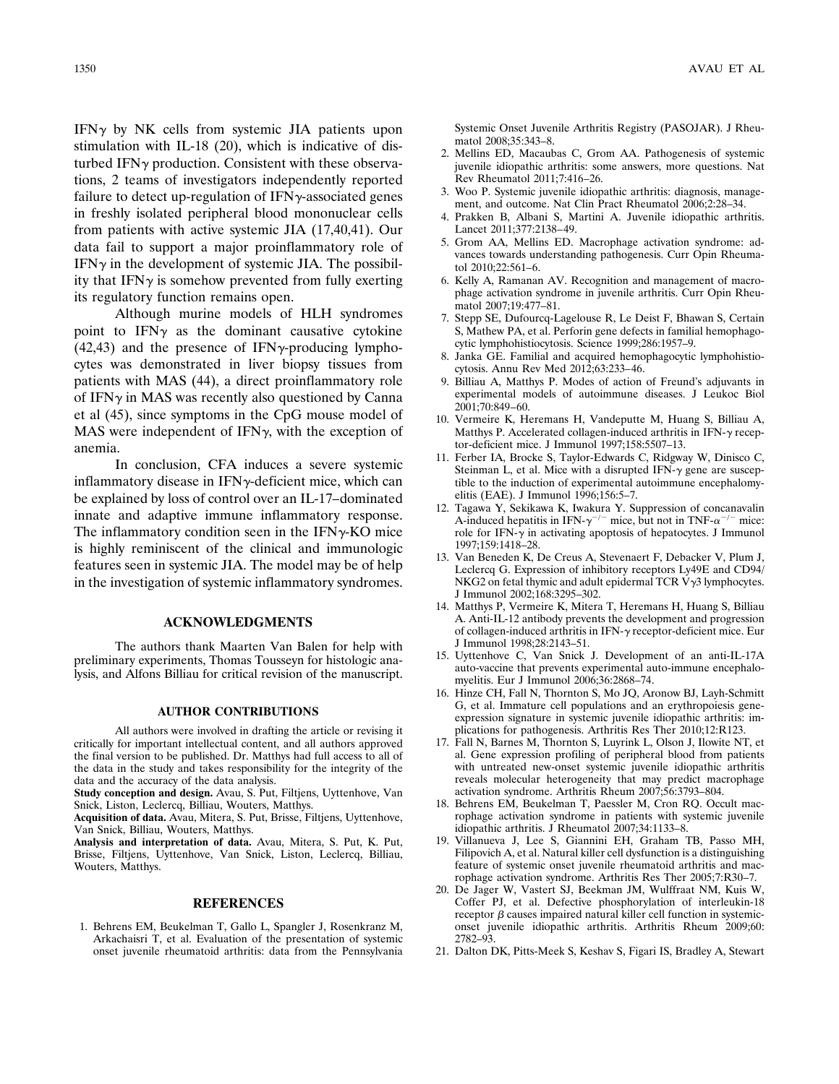IFN $\gamma$  by NK cells from systemic JIA patients upon stimulation with IL-18 (20), which is indicative of disturbed IFN $\gamma$  production. Consistent with these observations, 2 teams of investigators independently reported failure to detect up-regulation of IFN $\gamma$ -associated genes in freshly isolated peripheral blood mononuclear cells from patients with active systemic JIA (17,40,41). Our data fail to support a major proinflammatory role of  $IFN\gamma$  in the development of systemic JIA. The possibility that IFN $\gamma$  is somehow prevented from fully exerting its regulatory function remains open.

Although murine models of HLH syndromes point to IFN $\gamma$  as the dominant causative cytokine  $(42, 43)$  and the presence of IFN $\gamma$ -producing lymphocytes was demonstrated in liver biopsy tissues from patients with MAS (44), a direct proinflammatory role of IFN $\gamma$  in MAS was recently also questioned by Canna et al (45), since symptoms in the CpG mouse model of MAS were independent of IFN $\gamma$ , with the exception of anemia.

In conclusion, CFA induces a severe systemic inflammatory disease in  $IFN\gamma$ -deficient mice, which can be explained by loss of control over an IL-17–dominated innate and adaptive immune inflammatory response. The inflammatory condition seen in the  $IFN<sub>\gamma</sub>-KO$  mice is highly reminiscent of the clinical and immunologic features seen in systemic JIA. The model may be of help in the investigation of systemic inflammatory syndromes.

### **ACKNOWLEDGMENTS**

The authors thank Maarten Van Balen for help with preliminary experiments, Thomas Tousseyn for histologic analysis, and Alfons Billiau for critical revision of the manuscript.

#### **AUTHOR CONTRIBUTIONS**

All authors were involved in drafting the article or revising it critically for important intellectual content, and all authors approved the final version to be published. Dr. Matthys had full access to all of the data in the study and takes responsibility for the integrity of the data and the accuracy of the data analysis.

**Study conception and design.** Avau, S. Put, Filtjens, Uyttenhove, Van Snick, Liston, Leclercq, Billiau, Wouters, Matthys.

**Acquisition of data.** Avau, Mitera, S. Put, Brisse, Filtjens, Uyttenhove, Van Snick, Billiau, Wouters, Matthys.

**Analysis and interpretation of data.** Avau, Mitera, S. Put, K. Put, Brisse, Filtjens, Uyttenhove, Van Snick, Liston, Leclercq, Billiau, Wouters, Matthys.

## **REFERENCES**

1. Behrens EM, Beukelman T, Gallo L, Spangler J, Rosenkranz M, Arkachaisri T, et al. Evaluation of the presentation of systemic onset juvenile rheumatoid arthritis: data from the Pennsylvania

Systemic Onset Juvenile Arthritis Registry (PASOJAR). J Rheumatol 2008;35:343–8.

- 2. Mellins ED, Macaubas C, Grom AA. Pathogenesis of systemic juvenile idiopathic arthritis: some answers, more questions. Nat Rev Rheumatol 2011;7:416–26.
- 3. Woo P. Systemic juvenile idiopathic arthritis: diagnosis, management, and outcome. Nat Clin Pract Rheumatol 2006;2:28–34.
- 4. Prakken B, Albani S, Martini A. Juvenile idiopathic arthritis. Lancet 2011;377:2138–49.
- 5. Grom AA, Mellins ED. Macrophage activation syndrome: advances towards understanding pathogenesis. Curr Opin Rheumatol 2010;22:561–6.
- 6. Kelly A, Ramanan AV. Recognition and management of macrophage activation syndrome in juvenile arthritis. Curr Opin Rheumatol 2007;19:477–81.
- 7. Stepp SE, Dufourcq-Lagelouse R, Le Deist F, Bhawan S, Certain S, Mathew PA, et al. Perforin gene defects in familial hemophagocytic lymphohistiocytosis. Science 1999;286:1957–9.
- 8. Janka GE. Familial and acquired hemophagocytic lymphohistiocytosis. Annu Rev Med 2012;63:233–46.
- 9. Billiau A, Matthys P. Modes of action of Freund's adjuvants in experimental models of autoimmune diseases. J Leukoc Biol 2001;70:849–60.
- 10. Vermeire K, Heremans H, Vandeputte M, Huang S, Billiau A, Matthys P. Accelerated collagen-induced arthritis in IFN- $\gamma$  receptor-deficient mice. J Immunol 1997;158:5507–13.
- 11. Ferber IA, Brocke S, Taylor-Edwards C, Ridgway W, Dinisco C, Steinman L, et al. Mice with a disrupted IFN- $\gamma$  gene are susceptible to the induction of experimental autoimmune encephalomyelitis (EAE). J Immunol 1996;156:5–7.
- 12. Tagawa Y, Sekikawa K, Iwakura Y. Suppression of concanavalin A-induced hepatitis in IFN- $\gamma^{-/-}$  mice, but not in TNF- $\alpha^{-/-}$  mice: role for IFN- $\gamma$  in activating apoptosis of hepatocytes. J Immunol 1997;159:1418–28.
- 13. Van Beneden K, De Creus A, Stevenaert F, Debacker V, Plum J, Leclercq G. Expression of inhibitory receptors Ly49E and CD94/ NKG2 on fetal thymic and adult epidermal TCR  $V\gamma$ 3 lymphocytes. J Immunol 2002;168:3295–302.
- 14. Matthys P, Vermeire K, Mitera T, Heremans H, Huang S, Billiau A. Anti-IL-12 antibody prevents the development and progression of collagen-induced arthritis in IFN- $\gamma$  receptor-deficient mice. Eur J Immunol 1998;28:2143–51.
- 15. Uyttenhove C, Van Snick J. Development of an anti-IL-17A auto-vaccine that prevents experimental auto-immune encephalomyelitis. Eur J Immunol 2006;36:2868–74.
- 16. Hinze CH, Fall N, Thornton S, Mo JQ, Aronow BJ, Layh-Schmitt G, et al. Immature cell populations and an erythropoiesis geneexpression signature in systemic juvenile idiopathic arthritis: implications for pathogenesis. Arthritis Res Ther 2010;12:R123.
- 17. Fall N, Barnes M, Thornton S, Luyrink L, Olson J, Ilowite NT, et al. Gene expression profiling of peripheral blood from patients with untreated new-onset systemic juvenile idiopathic arthritis reveals molecular heterogeneity that may predict macrophage activation syndrome. Arthritis Rheum 2007;56:3793–804.
- 18. Behrens EM, Beukelman T, Paessler M, Cron RQ. Occult macrophage activation syndrome in patients with systemic juvenile idiopathic arthritis. J Rheumatol 2007;34:1133–8.
- 19. Villanueva J, Lee S, Giannini EH, Graham TB, Passo MH, Filipovich A, et al. Natural killer cell dysfunction is a distinguishing feature of systemic onset juvenile rheumatoid arthritis and macrophage activation syndrome. Arthritis Res Ther 2005;7:R30–7.
- 20. De Jager W, Vastert SJ, Beekman JM, Wulffraat NM, Kuis W, Coffer PJ, et al. Defective phosphorylation of interleukin-18 receptor  $\beta$  causes impaired natural killer cell function in systemiconset juvenile idiopathic arthritis. Arthritis Rheum 2009;60: 2782–93.
- 21. Dalton DK, Pitts-Meek S, Keshav S, Figari IS, Bradley A, Stewart